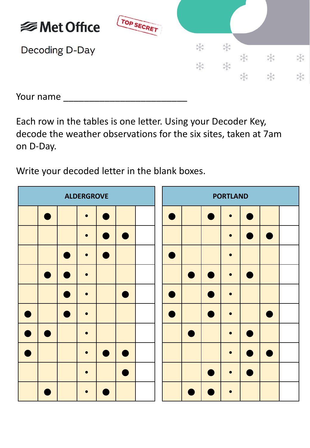

Your name \_\_\_\_\_\_\_\_\_\_\_\_\_\_\_\_\_\_\_\_\_\_\_\_

Each row in the tables is one letter. Using your Decoder Key, decode the weather observations for the six sites, taken at 7am on D-Day.

Write your decoded letter in the blank boxes.

|           | <b>ALDERGROVE</b> |  |           |                |         |  |  |                | <b>PORTLAND</b> |                |  |
|-----------|-------------------|--|-----------|----------------|---------|--|--|----------------|-----------------|----------------|--|
|           |                   |  | $\bullet$ |                |         |  |  |                | $\bullet$       |                |  |
|           |                   |  | $\bullet$ | $\blacksquare$ |         |  |  |                | $\bullet$       |                |  |
|           |                   |  | $\bullet$ | $\blacksquare$ |         |  |  |                | $\bullet$       |                |  |
|           |                   |  |           |                |         |  |  | $\blacksquare$ | $\bullet$       |                |  |
|           |                   |  | $\bullet$ |                |         |  |  | $\blacksquare$ | $\bullet$       |                |  |
|           |                   |  | $\bullet$ |                |         |  |  |                | $\bullet$       |                |  |
| $\bullet$ | $\blacksquare$    |  | $\bullet$ |                |         |  |  |                | $\bullet$       |                |  |
|           |                   |  | $\bullet$ |                | e de la |  |  |                | $\bullet$       | $\blacksquare$ |  |
|           |                   |  | $\bullet$ |                |         |  |  |                | $\bullet$       |                |  |
|           |                   |  |           |                |         |  |  |                |                 |                |  |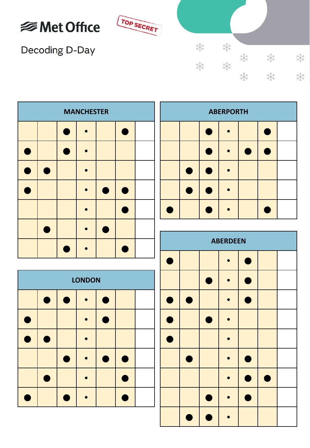



Decoding D-Day

| ☀ | ☀ |   |    |   |
|---|---|---|----|---|
|   | 米 | ☀ | 柒  | ╬ |
| ☀ |   | 举 | ** | ☀ |
|   |   |   |    |   |

| <b>MANCHESTER</b> |  |   |  |   |  |  |  |  |  |  |
|-------------------|--|---|--|---|--|--|--|--|--|--|
|                   |  | ۰ |  |   |  |  |  |  |  |  |
| Т                 |  |   |  |   |  |  |  |  |  |  |
| Δ                 |  |   |  |   |  |  |  |  |  |  |
| т                 |  |   |  | ۸ |  |  |  |  |  |  |
|                   |  |   |  |   |  |  |  |  |  |  |
|                   |  |   |  |   |  |  |  |  |  |  |
|                   |  |   |  |   |  |  |  |  |  |  |

| <b>LONDON</b> |   |   |  |  |   |  |  |  |  |  |  |
|---------------|---|---|--|--|---|--|--|--|--|--|--|
|               | Г | ٦ |  |  |   |  |  |  |  |  |  |
| Ξ             |   |   |  |  |   |  |  |  |  |  |  |
| 0             |   |   |  |  |   |  |  |  |  |  |  |
|               |   |   |  |  | Т |  |  |  |  |  |  |
|               |   |   |  |  |   |  |  |  |  |  |  |
|               |   |   |  |  |   |  |  |  |  |  |  |

| <b>ABERPORTH</b> |  |  |  |  |  |  |  |  |  |  |
|------------------|--|--|--|--|--|--|--|--|--|--|
|                  |  |  |  |  |  |  |  |  |  |  |
|                  |  |  |  |  |  |  |  |  |  |  |
| ×                |  |  |  |  |  |  |  |  |  |  |
|                  |  |  |  |  |  |  |  |  |  |  |
|                  |  |  |  |  |  |  |  |  |  |  |

| <b>ABERDEEN</b> |           |           |           |                 |           |  |  |  |  |  |
|-----------------|-----------|-----------|-----------|-----------------|-----------|--|--|--|--|--|
| $\bullet$       |           |           |           | $\blacklozenge$ |           |  |  |  |  |  |
|                 |           | $\bullet$ |           | Г               |           |  |  |  |  |  |
| $\bullet$       | $\bullet$ |           | $\bullet$ | $\bullet$       |           |  |  |  |  |  |
| $\bullet$       |           | $\bullet$ | D         |                 |           |  |  |  |  |  |
| $\blacklozenge$ |           |           |           |                 |           |  |  |  |  |  |
|                 | $\bullet$ |           | $\bullet$ | C               |           |  |  |  |  |  |
|                 |           |           |           | ●               | $\bullet$ |  |  |  |  |  |
|                 |           | D         |           | ∙               |           |  |  |  |  |  |
|                 |           |           |           |                 |           |  |  |  |  |  |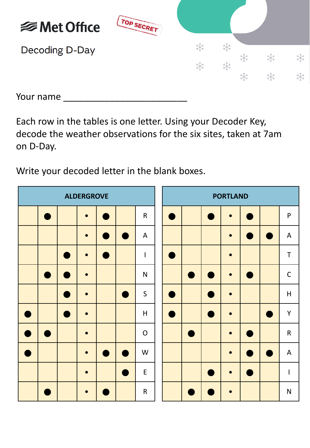

Your name \_\_\_\_\_\_\_\_\_\_\_\_\_\_\_\_\_\_\_\_\_\_\_\_

Each row in the tables is one letter. Using your Decoder Key, decode the weather observations for the six sites, taken at 7am on D-Day.

Write your decoded letter in the blank boxes.

| <b>ALDERGROVE</b> |  |           |                |                |              |  |  | <b>PORTLAND</b> |                |             |              |
|-------------------|--|-----------|----------------|----------------|--------------|--|--|-----------------|----------------|-------------|--------------|
|                   |  | $\bullet$ |                |                | ${\sf R}$    |  |  | $\bullet$       |                |             | $\mathsf{P}$ |
|                   |  | $\bullet$ |                |                | $\mathsf{A}$ |  |  | $\bullet$       | $\blacksquare$ |             | $\mathsf{A}$ |
|                   |  | $\bullet$ |                |                | I            |  |  | $\bullet$       |                |             | $\mathsf T$  |
|                   |  |           |                |                | $\mathsf{N}$ |  |  | $\bullet$       |                |             | $\mathsf C$  |
|                   |  | $\bullet$ |                |                | $\mathsf{S}$ |  |  | $\bullet$       |                |             | H            |
|                   |  | $\bullet$ |                |                | $\sf H$      |  |  | $\bullet$       |                |             | Y            |
|                   |  | $\bullet$ |                |                | $\mathsf{O}$ |  |  | $\bullet$       | $\blacksquare$ |             | ${\sf R}$    |
|                   |  | $\bullet$ | $\blacksquare$ | $\blacksquare$ | W            |  |  | $\bullet$       | $\blacksquare$ | <b>STAR</b> | $\mathsf{A}$ |
|                   |  | $\bullet$ |                |                | $\mathsf E$  |  |  | $\bullet$       |                |             | I            |
|                   |  | $\bullet$ |                |                | $\mathsf R$  |  |  | $\bullet$       |                |             | $\mathsf{N}$ |